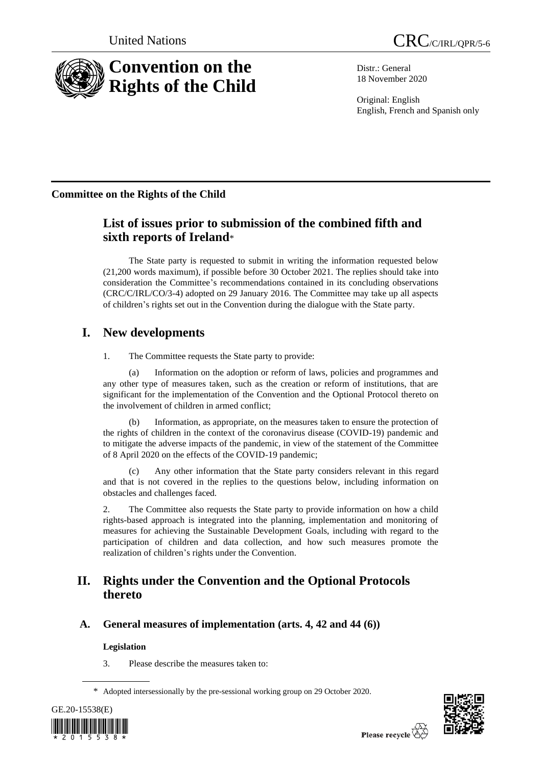

Distr.: General 18 November 2020

Original: English English, French and Spanish only

## **Committee on the Rights of the Child**

# **List of issues prior to submission of the combined fifth and sixth reports of Ireland**\*

The State party is requested to submit in writing the information requested below (21,200 words maximum), if possible before 30 October 2021. The replies should take into consideration the Committee's recommendations contained in its concluding observations (CRC/C/IRL/CO/3-4) adopted on 29 January 2016. The Committee may take up all aspects of children's rights set out in the Convention during the dialogue with the State party.

# **I. New developments**

1. The Committee requests the State party to provide:

(a) Information on the adoption or reform of laws, policies and programmes and any other type of measures taken, such as the creation or reform of institutions, that are significant for the implementation of the Convention and the Optional Protocol thereto on the involvement of children in armed conflict;

(b) Information, as appropriate, on the measures taken to ensure the protection of the rights of children in the context of the coronavirus disease (COVID-19) pandemic and to mitigate the adverse impacts of the pandemic, in view of the [statement of the Committee](https://tbinternet.ohchr.org/_layouts/15/treatybodyexternal/Download.aspx?symbolno=INT/CRC/STA/9095&Lang=en)  [of 8 April 2020 on the effects of the COVID-19 pandemic;](https://tbinternet.ohchr.org/_layouts/15/treatybodyexternal/Download.aspx?symbolno=INT/CRC/STA/9095&Lang=en)

(c) Any other information that the State party considers relevant in this regard and that is not covered in the replies to the questions below, including information on obstacles and challenges faced.

2. The Committee also requests the State party to provide information on how a child rights-based approach is integrated into the planning, implementation and monitoring of measures for achieving the Sustainable Development Goals, including with regard to the participation of children and data collection, and how such measures promote the realization of children's rights under the Convention.

# **II. Rights under the Convention and the Optional Protocols thereto**

## **A. General measures of implementation (arts. 4, 42 and 44 (6))**

## **Legislation**

3. Please describe the measures taken to:

<sup>\*</sup> Adopted intersessionally by the pre-sessional working group on 29 October 2020.



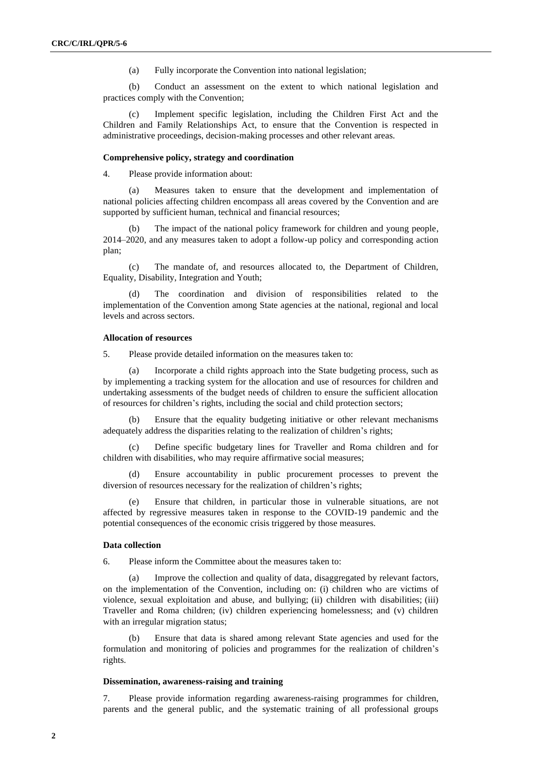(a) Fully incorporate the Convention into national legislation;

(b) Conduct an assessment on the extent to which national legislation and practices comply with the Convention;

Implement specific legislation, including the Children First Act and the Children and Family Relationships Act, to ensure that the Convention is respected in administrative proceedings, decision-making processes and other relevant areas.

#### **Comprehensive policy, strategy and coordination**

4. Please provide information about:

(a) Measures taken to ensure that the development and implementation of national policies affecting children encompass all areas covered by the Convention and are supported by sufficient human, technical and financial resources;

(b) The impact of the national policy framework for children and young people, 2014–2020, and any measures taken to adopt a follow-up policy and corresponding action plan;

(c) The mandate of, and resources allocated to, the Department of Children, Equality, Disability, Integration and Youth;

The coordination and division of responsibilities related to the implementation of the Convention among State agencies at the national, regional and local levels and across sectors.

#### **Allocation of resources**

5. Please provide detailed information on the measures taken to:

(a) Incorporate a child rights approach into the State budgeting process, such as by implementing a tracking system for the allocation and use of resources for children and undertaking assessments of the budget needs of children to ensure the sufficient allocation of resources for children's rights, including the social and child protection sectors;

(b) Ensure that the equality budgeting initiative or other relevant mechanisms adequately address the disparities relating to the realization of children's rights;

(c) Define specific budgetary lines for Traveller and Roma children and for children with disabilities, who may require affirmative social measures;

(d) Ensure accountability in public procurement processes to prevent the diversion of resources necessary for the realization of children's rights;

(e) Ensure that children, in particular those in vulnerable situations, are not affected by regressive measures taken in response to the COVID-19 pandemic and the potential consequences of the economic crisis triggered by those measures.

#### **Data collection**

6. Please inform the Committee about the measures taken to:

(a) Improve the collection and quality of data, disaggregated by relevant factors, on the implementation of the Convention, including on: (i) children who are victims of violence, sexual exploitation and abuse, and bullying; (ii) children with disabilities; (iii) Traveller and Roma children; (iv) children experiencing homelessness; and (v) children with an irregular migration status;

(b) Ensure that data is shared among relevant State agencies and used for the formulation and monitoring of policies and programmes for the realization of children's rights.

### **Dissemination, awareness-raising and training**

7. Please provide information regarding awareness-raising programmes for children, parents and the general public, and the systematic training of all professional groups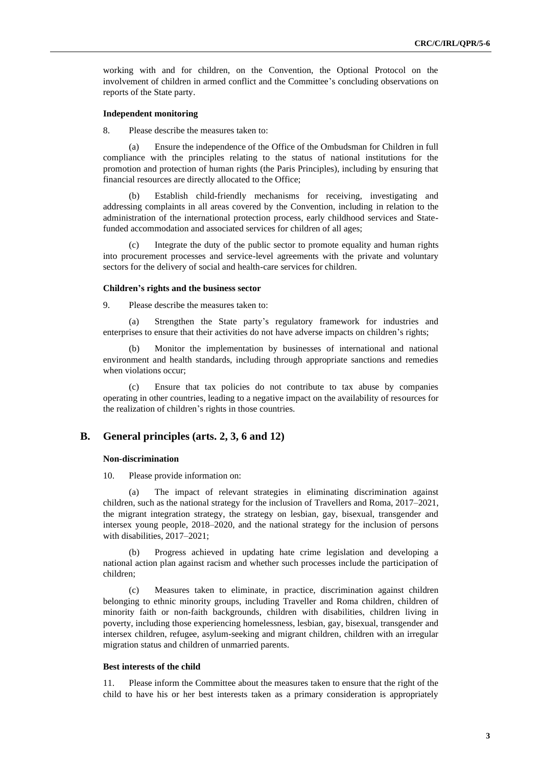working with and for children, on the Convention, the Optional Protocol on the involvement of children in armed conflict and the Committee's concluding observations on reports of the State party.

### **Independent monitoring**

8. Please describe the measures taken to:

(a) Ensure the independence of the Office of the Ombudsman for Children in full compliance with the principles relating to the status of national institutions for the promotion and protection of human rights (the Paris Principles), including by ensuring that financial resources are directly allocated to the Office;

(b) Establish child-friendly mechanisms for receiving, investigating and addressing complaints in all areas covered by the Convention, including in relation to the administration of the international protection process, early childhood services and Statefunded accommodation and associated services for children of all ages;

(c) Integrate the duty of the public sector to promote equality and human rights into procurement processes and service-level agreements with the private and voluntary sectors for the delivery of social and health-care services for children.

#### **Children's rights and the business sector**

9. Please describe the measures taken to:

(a) Strengthen the State party's regulatory framework for industries and enterprises to ensure that their activities do not have adverse impacts on children's rights;

(b) Monitor the implementation by businesses of international and national environment and health standards, including through appropriate sanctions and remedies when violations occur;

(c) Ensure that tax policies do not contribute to tax abuse by companies operating in other countries, leading to a negative impact on the availability of resources for the realization of children's rights in those countries.

### **B. General principles (arts. 2, 3, 6 and 12)**

#### **Non-discrimination**

10. Please provide information on:

(a) The impact of relevant strategies in eliminating discrimination against children, such as the national strategy for the inclusion of Travellers and Roma, 2017–2021, the migrant integration strategy, the strategy on lesbian, gay, bisexual, transgender and intersex young people, 2018–2020, and the national strategy for the inclusion of persons with disabilities, 2017–2021;

(b) Progress achieved in updating hate crime legislation and developing a national action plan against racism and whether such processes include the participation of children;

Measures taken to eliminate, in practice, discrimination against children belonging to ethnic minority groups, including Traveller and Roma children, children of minority faith or non-faith backgrounds, children with disabilities, children living in poverty, including those experiencing homelessness, lesbian, gay, bisexual, transgender and intersex children, refugee, asylum-seeking and migrant children, children with an irregular migration status and children of unmarried parents.

#### **Best interests of the child**

11. Please inform the Committee about the measures taken to ensure that the right of the child to have his or her best interests taken as a primary consideration is appropriately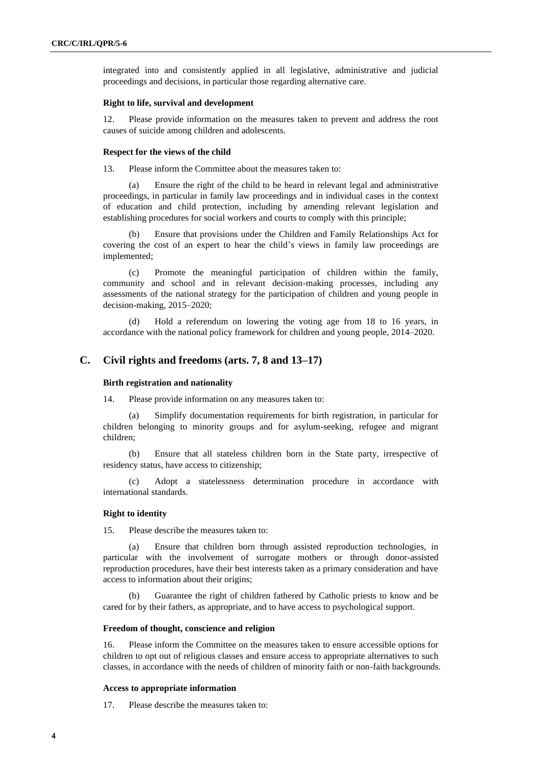integrated into and consistently applied in all legislative, administrative and judicial proceedings and decisions, in particular those regarding alternative care.

#### **Right to life, survival and development**

12. Please provide information on the measures taken to prevent and address the root causes of suicide among children and adolescents.

#### **Respect for the views of the child**

13. Please inform the Committee about the measures taken to:

(a) Ensure the right of the child to be heard in relevant legal and administrative proceedings, in particular in family law proceedings and in individual cases in the context of education and child protection, including by amending relevant legislation and establishing procedures for social workers and courts to comply with this principle;

Ensure that provisions under the Children and Family Relationships Act for covering the cost of an expert to hear the child's views in family law proceedings are implemented;

(c) Promote the meaningful participation of children within the family, community and school and in relevant decision-making processes, including any assessments of the national strategy for the participation of children and young people in decision-making, 2015–2020;

(d) Hold a referendum on lowering the voting age from 18 to 16 years, in accordance with the national policy framework for children and young people, 2014–2020.

### **C. Civil rights and freedoms (arts. 7, 8 and 13–17)**

### **Birth registration and nationality**

14. Please provide information on any measures taken to:

Simplify documentation requirements for birth registration, in particular for children belonging to minority groups and for asylum-seeking, refugee and migrant children;

(b) Ensure that all stateless children born in the State party, irrespective of residency status, have access to citizenship;

(c) Adopt a statelessness determination procedure in accordance with international standards.

### **Right to identity**

15. Please describe the measures taken to:

(a) Ensure that children born through assisted reproduction technologies, in particular with the involvement of surrogate mothers or through donor-assisted reproduction procedures, have their best interests taken as a primary consideration and have access to information about their origins;

(b) Guarantee the right of children fathered by Catholic priests to know and be cared for by their fathers, as appropriate, and to have access to psychological support.

#### **Freedom of thought, conscience and religion**

16. Please inform the Committee on the measures taken to ensure accessible options for children to opt out of religious classes and ensure access to appropriate alternatives to such classes, in accordance with the needs of children of minority faith or non-faith backgrounds.

#### **Access to appropriate information**

17. Please describe the measures taken to: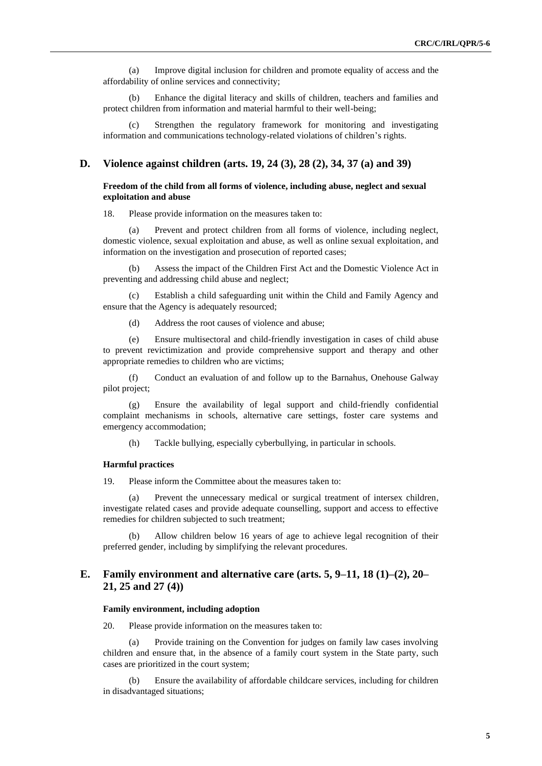(a) Improve digital inclusion for children and promote equality of access and the affordability of online services and connectivity;

(b) Enhance the digital literacy and skills of children, teachers and families and protect children from information and material harmful to their well-being;

(c) Strengthen the regulatory framework for monitoring and investigating information and communications technology-related violations of children's rights.

### **D. Violence against children (arts. 19, 24 (3), 28 (2), 34, 37 (a) and 39)**

#### **Freedom of the child from all forms of violence, including abuse, neglect and sexual exploitation and abuse**

18. Please provide information on the measures taken to:

(a) Prevent and protect children from all forms of violence, including neglect, domestic violence, sexual exploitation and abuse, as well as online sexual exploitation, and information on the investigation and prosecution of reported cases;

(b) Assess the impact of the Children First Act and the Domestic Violence Act in preventing and addressing child abuse and neglect;

(c) Establish a child safeguarding unit within the Child and Family Agency and ensure that the Agency is adequately resourced;

(d) Address the root causes of violence and abuse;

(e) Ensure multisectoral and child-friendly investigation in cases of child abuse to prevent revictimization and provide comprehensive support and therapy and other appropriate remedies to children who are victims;

(f) Conduct an evaluation of and follow up to the Barnahus, Onehouse Galway pilot project;

(g) Ensure the availability of legal support and child-friendly confidential complaint mechanisms in schools, alternative care settings, foster care systems and emergency accommodation;

(h) Tackle bullying, especially cyberbullying, in particular in schools.

### **Harmful practices**

19. Please inform the Committee about the measures taken to:

Prevent the unnecessary medical or surgical treatment of intersex children, investigate related cases and provide adequate counselling, support and access to effective remedies for children subjected to such treatment;

(b) Allow children below 16 years of age to achieve legal recognition of their preferred gender, including by simplifying the relevant procedures.

### **E. Family environment and alternative care (arts. 5, 9–11, 18 (1)–(2), 20– 21, 25 and 27 (4))**

#### **Family environment, including adoption**

20. Please provide information on the measures taken to:

(a) Provide training on the Convention for judges on family law cases involving children and ensure that, in the absence of a family court system in the State party, such cases are prioritized in the court system;

(b) Ensure the availability of affordable childcare services, including for children in disadvantaged situations;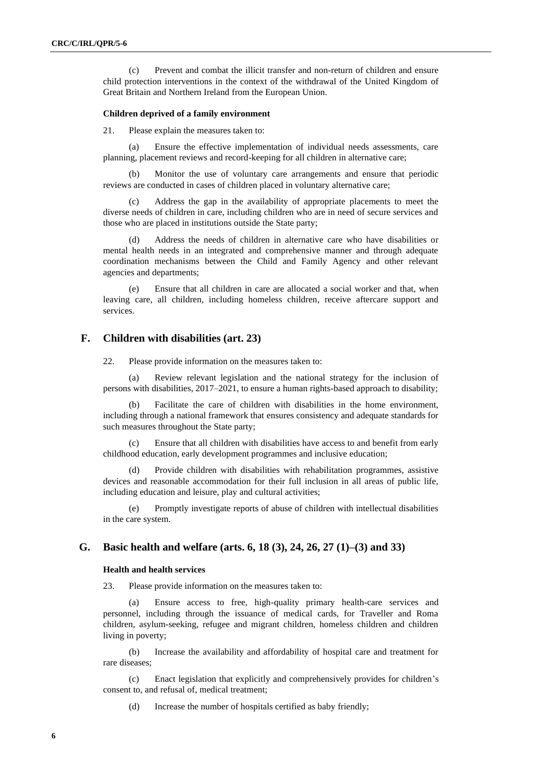(c) Prevent and combat the illicit transfer and non-return of children and ensure child protection interventions in the context of the withdrawal of the United Kingdom of Great Britain and Northern Ireland from the European Union.

#### **Children deprived of a family environment**

21. Please explain the measures taken to:

(a) Ensure the effective implementation of individual needs assessments, care planning, placement reviews and record-keeping for all children in alternative care;

(b) Monitor the use of voluntary care arrangements and ensure that periodic reviews are conducted in cases of children placed in voluntary alternative care;

Address the gap in the availability of appropriate placements to meet the diverse needs of children in care, including children who are in need of secure services and those who are placed in institutions outside the State party;

Address the needs of children in alternative care who have disabilities or mental health needs in an integrated and comprehensive manner and through adequate coordination mechanisms between the Child and Family Agency and other relevant agencies and departments;

(e) Ensure that all children in care are allocated a social worker and that, when leaving care, all children, including homeless children, receive aftercare support and services.

### **F. Children with disabilities (art. 23)**

22. Please provide information on the measures taken to:

(a) Review relevant legislation and the national strategy for the inclusion of persons with disabilities, 2017–2021, to ensure a human rights-based approach to disability;

(b) Facilitate the care of children with disabilities in the home environment, including through a national framework that ensures consistency and adequate standards for such measures throughout the State party;

Ensure that all children with disabilities have access to and benefit from early childhood education, early development programmes and inclusive education;

(d) Provide children with disabilities with rehabilitation programmes, assistive devices and reasonable accommodation for their full inclusion in all areas of public life, including education and leisure, play and cultural activities;

(e) Promptly investigate reports of abuse of children with intellectual disabilities in the care system.

### **G. Basic health and welfare (arts. 6, 18 (3), 24, 26, 27 (1)–(3) and 33)**

#### **Health and health services**

23. Please provide information on the measures taken to:

(a) Ensure access to free, high-quality primary health-care services and personnel, including through the issuance of medical cards, for Traveller and Roma children, asylum-seeking, refugee and migrant children, homeless children and children living in poverty;

(b) Increase the availability and affordability of hospital care and treatment for rare diseases;

(c) Enact legislation that explicitly and comprehensively provides for children's consent to, and refusal of, medical treatment;

(d) Increase the number of hospitals certified as baby friendly;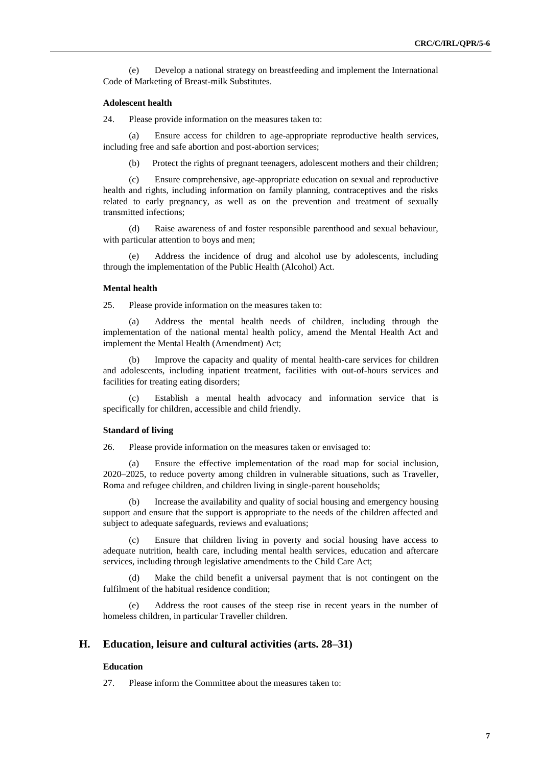(e) Develop a national strategy on breastfeeding and implement the International Code of Marketing of Breast-milk Substitutes.

#### **Adolescent health**

24. Please provide information on the measures taken to:

Ensure access for children to age-appropriate reproductive health services, including free and safe abortion and post-abortion services;

(b) Protect the rights of pregnant teenagers, adolescent mothers and their children;

(c) Ensure comprehensive, age-appropriate education on sexual and reproductive health and rights, including information on family planning, contraceptives and the risks related to early pregnancy, as well as on the prevention and treatment of sexually transmitted infections;

(d) Raise awareness of and foster responsible parenthood and sexual behaviour, with particular attention to boys and men;

(e) Address the incidence of drug and alcohol use by adolescents, including through the implementation of the Public Health (Alcohol) Act.

#### **Mental health**

25. Please provide information on the measures taken to:

(a) Address the mental health needs of children, including through the implementation of the national mental health policy, amend the Mental Health Act and implement the Mental Health (Amendment) Act;

Improve the capacity and quality of mental health-care services for children and adolescents, including inpatient treatment, facilities with out-of-hours services and facilities for treating eating disorders;

(c) Establish a mental health advocacy and information service that is specifically for children, accessible and child friendly.

#### **Standard of living**

26. Please provide information on the measures taken or envisaged to:

(a) Ensure the effective implementation of the road map for social inclusion, 2020–2025, to reduce poverty among children in vulnerable situations, such as Traveller, Roma and refugee children, and children living in single-parent households;

(b) Increase the availability and quality of social housing and emergency housing support and ensure that the support is appropriate to the needs of the children affected and subject to adequate safeguards, reviews and evaluations;

Ensure that children living in poverty and social housing have access to adequate nutrition, health care, including mental health services, education and aftercare services, including through legislative amendments to the Child Care Act;

(d) Make the child benefit a universal payment that is not contingent on the fulfilment of the habitual residence condition;

(e) Address the root causes of the steep rise in recent years in the number of homeless children, in particular Traveller children.

### **H. Education, leisure and cultural activities (arts. 28–31)**

#### **Education**

27. Please inform the Committee about the measures taken to: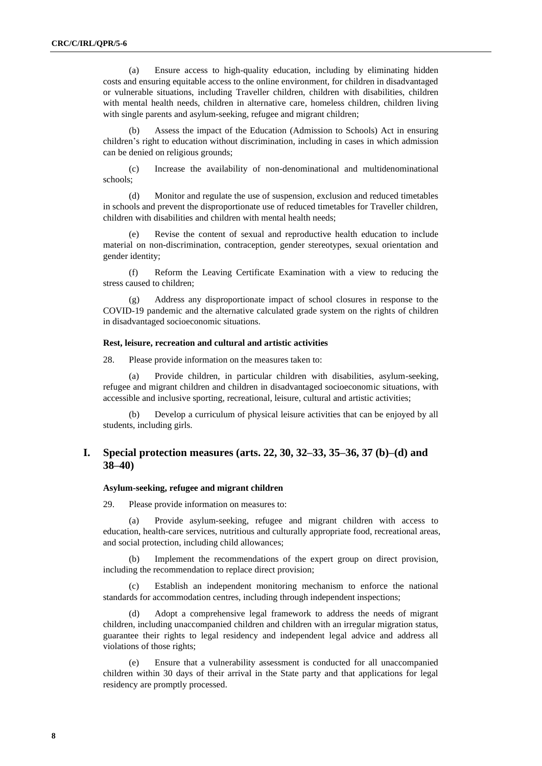(a) Ensure access to high-quality education, including by eliminating hidden costs and ensuring equitable access to the online environment, for children in disadvantaged or vulnerable situations, including Traveller children, children with disabilities, children with mental health needs, children in alternative care, homeless children, children living with single parents and asylum-seeking, refugee and migrant children;

Assess the impact of the Education (Admission to Schools) Act in ensuring children's right to education without discrimination, including in cases in which admission can be denied on religious grounds;

(c) Increase the availability of non-denominational and multidenominational schools;

(d) Monitor and regulate the use of suspension, exclusion and reduced timetables in schools and prevent the disproportionate use of reduced timetables for Traveller children, children with disabilities and children with mental health needs;

Revise the content of sexual and reproductive health education to include material on non-discrimination, contraception, gender stereotypes, sexual orientation and gender identity;

(f) Reform the Leaving Certificate Examination with a view to reducing the stress caused to children;

(g) Address any disproportionate impact of school closures in response to the COVID-19 pandemic and the alternative calculated grade system on the rights of children in disadvantaged socioeconomic situations.

### **Rest, leisure, recreation and cultural and artistic activities**

28. Please provide information on the measures taken to:

(a) Provide children, in particular children with disabilities, asylum-seeking, refugee and migrant children and children in disadvantaged socioeconomic situations, with accessible and inclusive sporting, recreational, leisure, cultural and artistic activities;

(b) Develop a curriculum of physical leisure activities that can be enjoyed by all students, including girls.

### **I. Special protection measures (arts. 22, 30, 32–33, 35–36, 37 (b)–(d) and 38–40)**

#### **Asylum-seeking, refugee and migrant children**

29. Please provide information on measures to:

(a) Provide asylum-seeking, refugee and migrant children with access to education, health-care services, nutritious and culturally appropriate food, recreational areas, and social protection, including child allowances;

(b) Implement the recommendations of the expert group on direct provision, including the recommendation to replace direct provision;

Establish an independent monitoring mechanism to enforce the national standards for accommodation centres, including through independent inspections;

(d) Adopt a comprehensive legal framework to address the needs of migrant children, including unaccompanied children and children with an irregular migration status, guarantee their rights to legal residency and independent legal advice and address all violations of those rights;

(e) Ensure that a vulnerability assessment is conducted for all unaccompanied children within 30 days of their arrival in the State party and that applications for legal residency are promptly processed.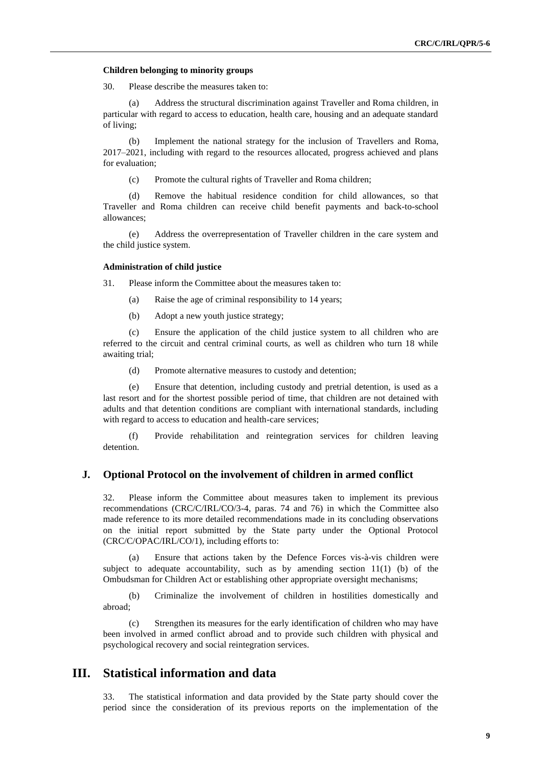#### **Children belonging to minority groups**

30. Please describe the measures taken to:

(a) Address the structural discrimination against Traveller and Roma children, in particular with regard to access to education, health care, housing and an adequate standard of living;

(b) Implement the national strategy for the inclusion of Travellers and Roma, 2017–2021, including with regard to the resources allocated, progress achieved and plans for evaluation;

(c) Promote the cultural rights of Traveller and Roma children;

(d) Remove the habitual residence condition for child allowances, so that Traveller and Roma children can receive child benefit payments and back-to-school allowances;

(e) Address the overrepresentation of Traveller children in the care system and the child justice system.

### **Administration of child justice**

31. Please inform the Committee about the measures taken to:

- (a) Raise the age of criminal responsibility to 14 years;
- (b) Adopt a new youth justice strategy;

(c) Ensure the application of the child justice system to all children who are referred to the circuit and central criminal courts, as well as children who turn 18 while awaiting trial;

(d) Promote alternative measures to custody and detention;

(e) Ensure that detention, including custody and pretrial detention, is used as a last resort and for the shortest possible period of time, that children are not detained with adults and that detention conditions are compliant with international standards, including with regard to access to education and health-care services;

(f) Provide rehabilitation and reintegration services for children leaving detention.

### **J. Optional Protocol on the involvement of children in armed conflict**

32. Please inform the Committee about measures taken to implement its previous recommendations (CRC/C/IRL/CO/3-4, paras. 74 and 76) in which the Committee also made reference to its more detailed recommendations made in its concluding observations on the initial report submitted by the State party under the Optional Protocol (CRC/C/OPAC/IRL/CO/1), including efforts to:

(a) Ensure that actions taken by the Defence Forces vis-à-vis children were subject to adequate accountability, such as by amending section  $11(1)$  (b) of the Ombudsman for Children Act or establishing other appropriate oversight mechanisms;

(b) Criminalize the involvement of children in hostilities domestically and abroad;

(c) Strengthen its measures for the early identification of children who may have been involved in armed conflict abroad and to provide such children with physical and psychological recovery and social reintegration services.

## **III. Statistical information and data**

33. The statistical information and data provided by the State party should cover the period since the consideration of its previous reports on the implementation of the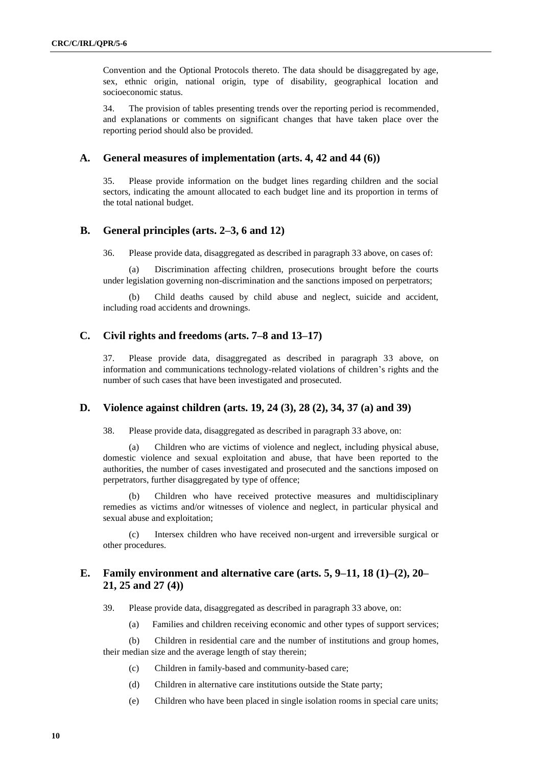Convention and the Optional Protocols thereto. The data should be disaggregated by age, sex, ethnic origin, national origin, type of disability, geographical location and socioeconomic status.

34. The provision of tables presenting trends over the reporting period is recommended, and explanations or comments on significant changes that have taken place over the reporting period should also be provided.

### **A. General measures of implementation (arts. 4, 42 and 44 (6))**

35. Please provide information on the budget lines regarding children and the social sectors, indicating the amount allocated to each budget line and its proportion in terms of the total national budget.

### **B. General principles (arts. 2–3, 6 and 12)**

36. Please provide data, disaggregated as described in paragraph 33 above, on cases of:

(a) Discrimination affecting children, prosecutions brought before the courts under legislation governing non-discrimination and the sanctions imposed on perpetrators;

(b) Child deaths caused by child abuse and neglect, suicide and accident, including road accidents and drownings.

### **C. Civil rights and freedoms (arts. 7–8 and 13–17)**

37. Please provide data, disaggregated as described in paragraph 33 above, on information and communications technology-related violations of children's rights and the number of such cases that have been investigated and prosecuted.

### **D. Violence against children (arts. 19, 24 (3), 28 (2), 34, 37 (a) and 39)**

38. Please provide data, disaggregated as described in paragraph 33 above, on:

(a) Children who are victims of violence and neglect, including physical abuse, domestic violence and sexual exploitation and abuse, that have been reported to the authorities, the number of cases investigated and prosecuted and the sanctions imposed on perpetrators, further disaggregated by type of offence;

(b) Children who have received protective measures and multidisciplinary remedies as victims and/or witnesses of violence and neglect, in particular physical and sexual abuse and exploitation;

(c) Intersex children who have received non-urgent and irreversible surgical or other procedures.

### **E. Family environment and alternative care (arts. 5, 9–11, 18 (1)–(2), 20– 21, 25 and 27 (4))**

39. Please provide data, disaggregated as described in paragraph 33 above, on:

(a) Families and children receiving economic and other types of support services;

(b) Children in residential care and the number of institutions and group homes, their median size and the average length of stay therein;

- (c) Children in family-based and community-based care;
- (d) Children in alternative care institutions outside the State party;
- (e) Children who have been placed in single isolation rooms in special care units;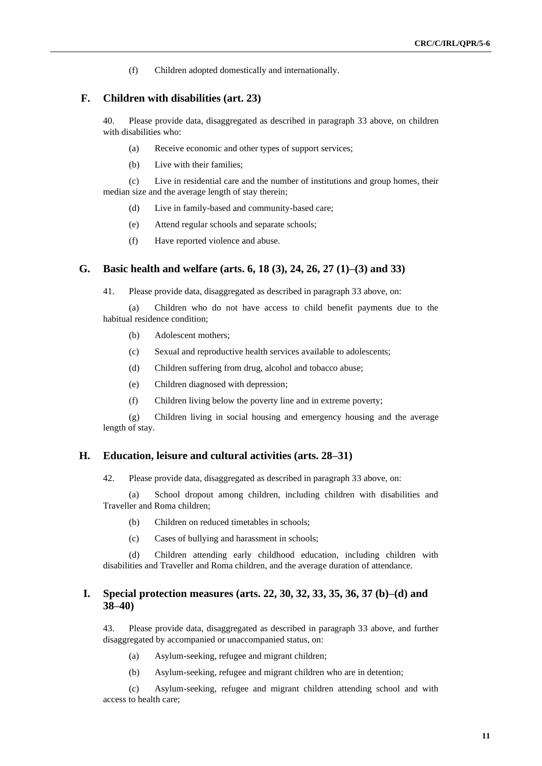(f) Children adopted domestically and internationally.

### **F. Children with disabilities (art. 23)**

40. Please provide data, disaggregated as described in paragraph 33 above, on children with disabilities who:

- (a) Receive economic and other types of support services;
- (b) Live with their families;

(c) Live in residential care and the number of institutions and group homes, their median size and the average length of stay therein;

- (d) Live in family-based and community-based care;
- (e) Attend regular schools and separate schools;
- (f) Have reported violence and abuse.

### **G. Basic health and welfare (arts. 6, 18 (3), 24, 26, 27 (1)–(3) and 33)**

41. Please provide data, disaggregated as described in paragraph 33 above, on:

(a) Children who do not have access to child benefit payments due to the habitual residence condition;

- (b) Adolescent mothers;
- (c) Sexual and reproductive health services available to adolescents;
- (d) Children suffering from drug, alcohol and tobacco abuse;
- (e) Children diagnosed with depression;
- (f) Children living below the poverty line and in extreme poverty;

(g) Children living in social housing and emergency housing and the average length of stay.

### **H. Education, leisure and cultural activities (arts. 28–31)**

42. Please provide data, disaggregated as described in paragraph 33 above, on:

(a) School dropout among children, including children with disabilities and Traveller and Roma children;

- (b) Children on reduced timetables in schools;
- (c) Cases of bullying and harassment in schools;

(d) Children attending early childhood education, including children with disabilities and Traveller and Roma children, and the average duration of attendance.

### **I. Special protection measures (arts. 22, 30, 32, 33, 35, 36, 37 (b)–(d) and 38–40)**

43. Please provide data, disaggregated as described in paragraph 33 above, and further disaggregated by accompanied or unaccompanied status, on:

- (a) Asylum-seeking, refugee and migrant children;
- (b) Asylum-seeking, refugee and migrant children who are in detention;

(c) Asylum-seeking, refugee and migrant children attending school and with access to health care;